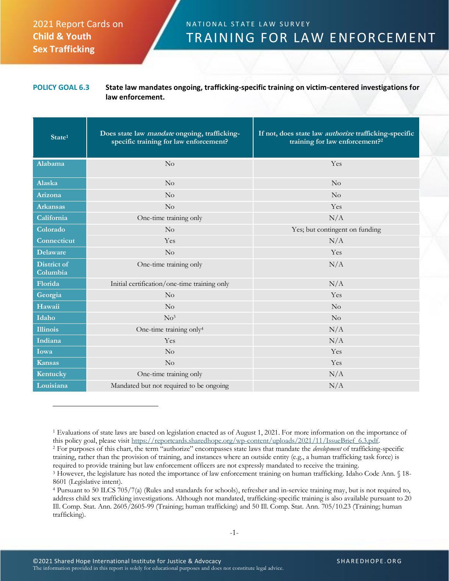## 2021 Report Cards on **Child & Youth Sex Trafficking**

## N A T I O N A L S T A T E L A W S U R V E Y TRAINING FOR LAW ENFORCEMENT

## **POLICY GOAL 6.3 State law mandates ongoing, trafficking-specific training on victim-centered investigations for law enforcement.**

| State <sup>1</sup>      | Does state law mandate ongoing, trafficking-<br>specific training for law enforcement? | If not, does state law <i>authorize</i> trafficking-specific<br>training for law enforcement? <sup>2</sup> |
|-------------------------|----------------------------------------------------------------------------------------|------------------------------------------------------------------------------------------------------------|
| Alabama                 | No                                                                                     | Yes                                                                                                        |
| Alaska                  | No                                                                                     | No                                                                                                         |
| Arizona                 | No                                                                                     | No                                                                                                         |
| <b>Arkansas</b>         | No                                                                                     | Yes                                                                                                        |
| California              | One-time training only                                                                 | N/A                                                                                                        |
| Colorado                | No                                                                                     | Yes; but contingent on funding                                                                             |
| Connecticut             | Yes                                                                                    | N/A                                                                                                        |
| <b>Delaware</b>         | No                                                                                     | Yes                                                                                                        |
| District of<br>Columbia | One-time training only                                                                 | N/A                                                                                                        |
| Florida                 | Initial certification/one-time training only                                           | N/A                                                                                                        |
| Georgia                 | No                                                                                     | Yes                                                                                                        |
| Hawaii                  | No                                                                                     | $\rm No$                                                                                                   |
| Idaho                   | No <sup>3</sup>                                                                        | $\rm No$                                                                                                   |
| <b>Illinois</b>         | One-time training only <sup>4</sup>                                                    | N/A                                                                                                        |
| Indiana                 | Yes                                                                                    | N/A                                                                                                        |
| Iowa                    | No                                                                                     | Yes                                                                                                        |
| <b>Kansas</b>           | No                                                                                     | Yes                                                                                                        |
| Kentucky                | One-time training only                                                                 | N/A                                                                                                        |
| Louisiana               | Mandated but not required to be ongoing                                                | N/A                                                                                                        |

<sup>2</sup> For purposes of this chart, the term "authorize" encompasses state laws that mandate the *development* of trafficking-specific training, rather than the provision of training, and instances where an outside entity (e.g., a human trafficking task force) is required to provide training but law enforcement officers are not expressly mandated to receive the training.

<sup>1</sup> Evaluations of state laws are based on legislation enacted as of August 1, 2021. For more information on the importance of this policy goal, please visit [https://reportcards.sharedhope.org/wp-content/uploads/2021/11/IssueBrief\\_6.3.pdf.](https://reportcards.sharedhope.org/wp-content/uploads/2021/11/IssueBrief_6.3.pdf)

<sup>3</sup> However, the legislature has noted the importance of law enforcement training on human trafficking. Idaho Code Ann. § 18- 8601 (Legislative intent).

<sup>4</sup> Pursuant to 50 ILCS 705/7(a) (Rules and standards for schools), refresher and in-service training may, but is not required to, address child sex trafficking investigations. Although not mandated, trafficking-specific training is also available pursuant to 20 Ill. Comp. Stat. Ann. 2605/2605-99 (Training; human trafficking) and 50 Ill. Comp. Stat. Ann. 705/10.23 (Training; human trafficking).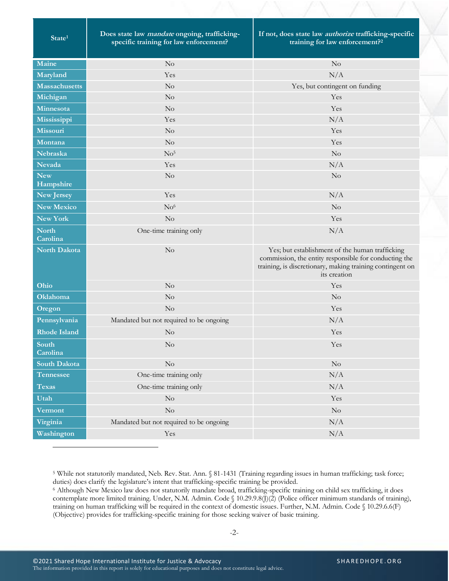| State <sup>1</sup>       | Does state law mandate ongoing, trafficking-<br>specific training for law enforcement? | If not, does state law <i>authorize</i> trafficking-specific<br>training for law enforcement? <sup>2</sup>                                                                            |
|--------------------------|----------------------------------------------------------------------------------------|---------------------------------------------------------------------------------------------------------------------------------------------------------------------------------------|
| Maine                    | No                                                                                     | $\rm No$                                                                                                                                                                              |
| Maryland                 | Yes                                                                                    | N/A                                                                                                                                                                                   |
| <b>Massachusetts</b>     | No                                                                                     | Yes, but contingent on funding                                                                                                                                                        |
| Michigan                 | No                                                                                     | Yes                                                                                                                                                                                   |
| Minnesota                | No                                                                                     | Yes                                                                                                                                                                                   |
| Mississippi              | Yes                                                                                    | N/A                                                                                                                                                                                   |
| <b>Missouri</b>          | No                                                                                     | Yes                                                                                                                                                                                   |
| Montana                  | $\rm No$                                                                               | Yes                                                                                                                                                                                   |
| Nebraska                 | No <sup>5</sup>                                                                        | $\rm No$                                                                                                                                                                              |
| Nevada                   | Yes                                                                                    | N/A                                                                                                                                                                                   |
| <b>New</b><br>Hampshire  | $\rm No$                                                                               | $\rm No$                                                                                                                                                                              |
| New Jersey               | Yes                                                                                    | N/A                                                                                                                                                                                   |
| <b>New Mexico</b>        | No <sup>6</sup>                                                                        | No                                                                                                                                                                                    |
| <b>New York</b>          | $\rm No$                                                                               | Yes                                                                                                                                                                                   |
| <b>North</b><br>Carolina | One-time training only                                                                 | N/A                                                                                                                                                                                   |
| <b>North Dakota</b>      | No                                                                                     | Yes; but establishment of the human trafficking<br>commission, the entity responsible for conducting the<br>training, is discretionary, making training contingent on<br>its creation |
| Ohio                     | N <sub>o</sub>                                                                         | Yes                                                                                                                                                                                   |
| Oklahoma                 | No                                                                                     | No                                                                                                                                                                                    |
| Oregon                   | No                                                                                     | Yes                                                                                                                                                                                   |
| Pennsylvania             | Mandated but not required to be ongoing                                                | N/A                                                                                                                                                                                   |
| <b>Rhode Island</b>      | No                                                                                     | Yes                                                                                                                                                                                   |
| South<br>Carolina        | No                                                                                     | Yes                                                                                                                                                                                   |
| South Dakota             | $\rm No$                                                                               | $\rm No$                                                                                                                                                                              |
| <b>Tennessee</b>         | One-time training only                                                                 | N/A                                                                                                                                                                                   |
| <b>Texas</b>             | One-time training only                                                                 | N/A                                                                                                                                                                                   |
| Utah                     | $\rm No$                                                                               | Yes                                                                                                                                                                                   |
| <b>Vermont</b>           | $\rm No$                                                                               | $\rm No$                                                                                                                                                                              |
| Virginia                 | Mandated but not required to be ongoing                                                | N/A                                                                                                                                                                                   |
| Washington               | Yes                                                                                    | N/A                                                                                                                                                                                   |

<sup>5</sup> While not statutorily mandated, Neb. Rev. Stat. Ann. § 81-1431 (Training regarding issues in human trafficking; task force; duties) does clarify the legislature's intent that trafficking-specific training be provided.

<sup>6</sup> Although New Mexico law does not statutorily mandate broad, trafficking-specific training on child sex trafficking, it does contemplate more limited training. Under, N.M. Admin. Code § 10.29.9.8(J)(2) (Police officer minimum standards of training), training on human trafficking will be required in the context of domestic issues. Further, N.M. Admin. Code § 10.29.6.6(F) (Objective) provides for trafficking-specific training for those seeking waiver of basic training.